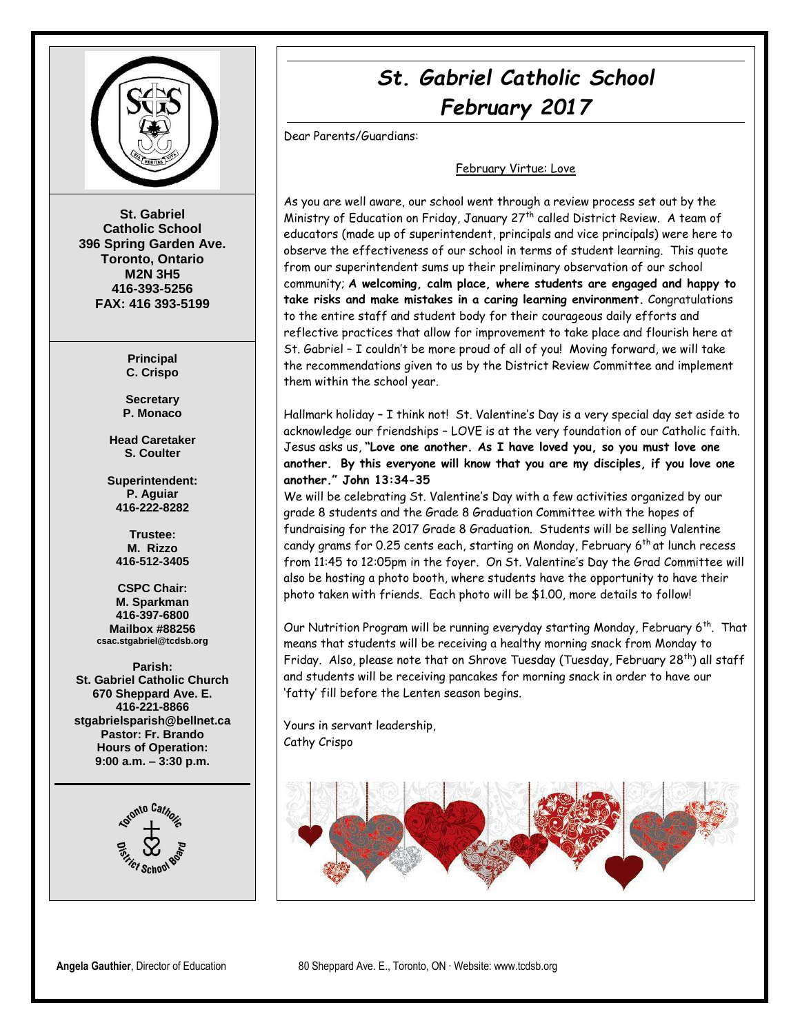

**St. Gabriel Catholic School 396 Spring Garden Ave. Toronto, Ontario M2N 3H5 416-393-5256 FAX: 416 393-5199**

> **Principal C. Crispo**

**Secretary P. Monaco**

**Head Caretaker S. Coulter**

**Superintendent: P. Aguiar 416-222-8282**

**Trustee: M. Rizzo 416-512-3405**

**CSPC Chair: M. Sparkman 416-397-6800 Mailbox #88256 csac.stgabriel@tcdsb.org**

**Parish: St. Gabriel Catholic Church 670 Sheppard Ave. E. 416-221-8866 stgabrielsparish@bellnet.ca Pastor: Fr. Brando Hours of Operation: 9:00 a.m. – 3:30 p.m.**



# *St. Gabriel Catholic School February 2017*

Dear Parents/Guardians:

#### February Virtue: Love

As you are well aware, our school went through a review process set out by the Ministry of Education on Friday, January 27<sup>th</sup> called District Review. A team of educators (made up of superintendent, principals and vice principals) were here to observe the effectiveness of our school in terms of student learning. This quote from our superintendent sums up their preliminary observation of our school community; **A welcoming, calm place, where students are engaged and happy to take risks and make mistakes in a caring learning environment.** Congratulations to the entire staff and student body for their courageous daily efforts and reflective practices that allow for improvement to take place and flourish here at St. Gabriel – I couldn't be more proud of all of you! Moving forward, we will take the recommendations given to us by the District Review Committee and implement them within the school year.

Hallmark holiday – I think not! St. Valentine's Day is a very special day set aside to acknowledge our friendships – LOVE is at the very foundation of our Catholic faith. Jesus asks us, **"Love one another. As I have loved you, so you must love one another. By this everyone will know that you are my disciples, if you love one another." John 13:34-35**

We will be celebrating St. Valentine's Day with a few activities organized by our grade 8 students and the Grade 8 Graduation Committee with the hopes of fundraising for the 2017 Grade 8 Graduation. Students will be selling Valentine candy grams for 0.25 cents each, starting on Monday, February 6<sup>th</sup> at lunch recess from 11:45 to 12:05pm in the foyer. On St. Valentine's Day the Grad Committee will also be hosting a photo booth, where students have the opportunity to have their photo taken with friends. Each photo will be \$1.00, more details to follow!

Our Nutrition Program will be running everyday starting Monday, February 6<sup>th</sup>. That means that students will be receiving a healthy morning snack from Monday to Friday. Also, please note that on Shrove Tuesday (Tuesday, February 28<sup>th</sup>) all staff and students will be receiving pancakes for morning snack in order to have our 'fatty' fill before the Lenten season begins.

Yours in servant leadership, Cathy Crispo

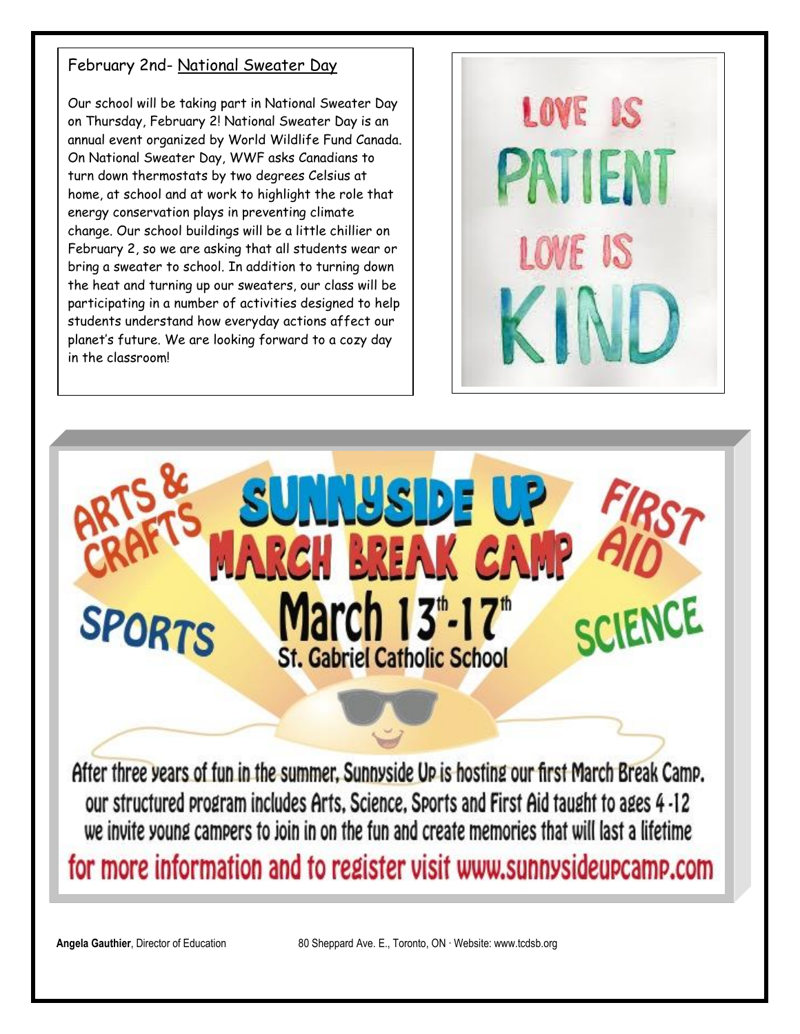### February 2nd- National Sweater Day

Our school will be taking part in National Sweater Day on Thursday, February 2! National Sweater Day is an annual event organized by World Wildlife Fund Canada. On National Sweater Day, WWF asks Canadians to turn down thermostats by two degrees Celsius at home, at school and at work to highlight the role that energy conservation plays in preventing climate change. Our school buildings will be a little chillier on February 2, so we are asking that all students wear or bring a sweater to school. In addition to turning down the heat and turning up our sweaters, our class will be participating in a number of activities designed to help students understand how everyday actions affect our planet's future. We are looking forward to a cozy day in the classroom!



**NUSIDE** CH BREAK C ENCE March 13th-17th **SPORTS St. Gabriel Catholic School** After three years of fun in the summer. Sunnyside Up is hosting our first March Break Camp.

our structured program includes Arts, Science, Sports and First Aid taught to ages 4 -12 we invite young campers to join in on the fun and create memories that will last a lifetime for more information and to register visit www.sunnysideupcamp.com

**Angela Gauthier**, Director of Education 80 Sheppard Ave. E., Toronto, ON ∙ Website: www.tcdsb.org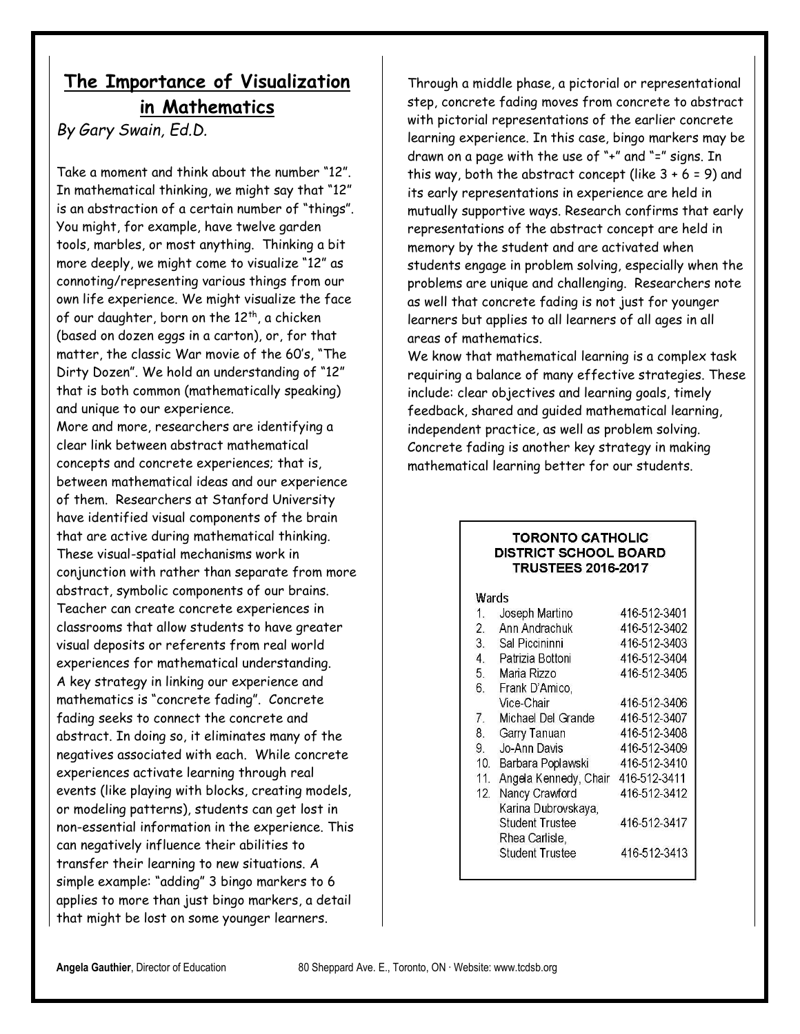## **The Importance of Visualization in Mathematics**

*By Gary Swain, Ed.D.*

Take a moment and think about the number "12". In mathematical thinking, we might say that "12" is an abstraction of a certain number of "things". You might, for example, have twelve garden tools, marbles, or most anything. Thinking a bit more deeply, we might come to visualize "12" as connoting/representing various things from our own life experience. We might visualize the face of our daughter, born on the 12<sup>th</sup>, a chicken (based on dozen eggs in a carton), or, for that matter, the classic War movie of the 60's, "The Dirty Dozen". We hold an understanding of "12" that is both common (mathematically speaking) and unique to our experience.

More and more, researchers are identifying a clear link between abstract mathematical concepts and concrete experiences; that is, between mathematical ideas and our experience of them. Researchers at Stanford University have identified visual components of the brain that are active during mathematical thinking. These visual-spatial mechanisms work in conjunction with rather than separate from more abstract, symbolic components of our brains. Teacher can create concrete experiences in classrooms that allow students to have greater visual deposits or referents from real world experiences for mathematical understanding. A key strategy in linking our experience and mathematics is "concrete fading". Concrete fading seeks to connect the concrete and abstract. In doing so, it eliminates many of the negatives associated with each. While concrete experiences activate learning through real events (like playing with blocks, creating models, or modeling patterns), students can get lost in non-essential information in the experience. This can negatively influence their abilities to transfer their learning to new situations. A simple example: "adding" 3 bingo markers to 6 applies to more than just bingo markers, a detail that might be lost on some younger learners.

Through a middle phase, a pictorial or representational step, concrete fading moves from concrete to abstract with pictorial representations of the earlier concrete learning experience. In this case, bingo markers may be drawn on a page with the use of "+" and "=" signs. In this way, both the abstract concept (like  $3 + 6 = 9$ ) and its early representations in experience are held in mutually supportive ways. Research confirms that early representations of the abstract concept are held in memory by the student and are activated when students engage in problem solving, especially when the problems are unique and challenging. Researchers note as well that concrete fading is not just for younger learners but applies to all learners of all ages in all areas of mathematics.

We know that mathematical learning is a complex task requiring a balance of many effective strategies. These include: clear objectives and learning goals, timely feedback, shared and guided mathematical learning, independent practice, as well as problem solving. Concrete fading is another key strategy in making mathematical learning better for our students.

#### **TORONTO CATHOLIC DISTRICT SCHOOL BOARD TRUSTEES 2016-2017**

| Wards |  |
|-------|--|
|       |  |

| 1.  | Joseph Martino         | 416-512-3401 |
|-----|------------------------|--------------|
| 2.  | Ann Andrachuk          | 416-512-3402 |
| 3.  | Sal Piccininni         | 416-512-3403 |
| 4.  | Patrizia Bottoni       | 416-512-3404 |
| 5.  | Maria Rizzo            | 416-512-3405 |
| 6.  | Frank D'Amico,         |              |
|     | Vice-Chair             | 416-512-3406 |
| 7.  | Michael Del Grande     | 416-512-3407 |
| 8.  | Garry Tanuan           | 416-512-3408 |
| 9.  | Jo-Ann Davis           | 416-512-3409 |
| 10. | Barbara Poplawski      | 416-512-3410 |
| 11. | Angela Kennedy, Chair  | 416-512-3411 |
| 12. | Nancy Crawford         | 416-512-3412 |
|     | Karina Dubrovskaya,    |              |
|     | <b>Student Trustee</b> | 416-512-3417 |
|     | Rhea Carlisle,         |              |
|     | <b>Student Trustee</b> | 416-512-3413 |
|     |                        |              |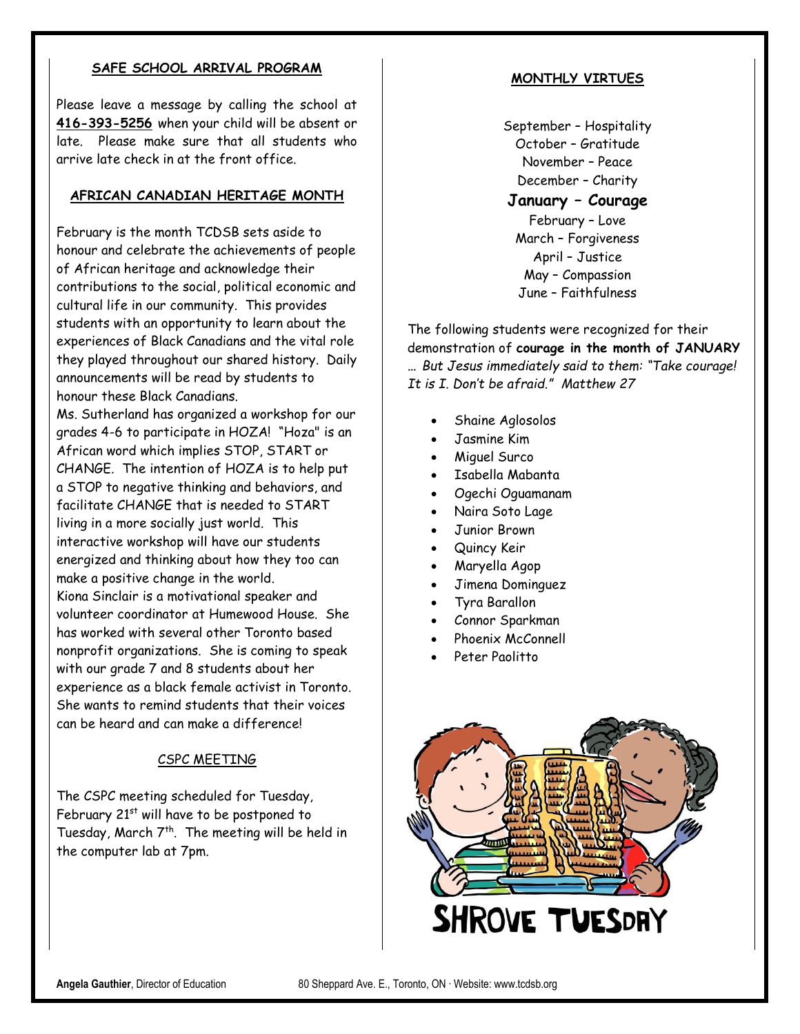#### **SAFE SCHOOL ARRIVAL PROGRAM**

Please leave a message by calling the school at **416-393-5256** when your child will be absent or late. Please make sure that all students who arrive late check in at the front office.

#### **AFRICAN CANADIAN HERITAGE MONTH**

February is the month TCDSB sets aside to honour and celebrate the achievements of people of African heritage and acknowledge their contributions to the social, political economic and cultural life in our community. This provides students with an opportunity to learn about the experiences of Black Canadians and the vital role they played throughout our shared history. Daily announcements will be read by students to honour these Black Canadians.

Ms. Sutherland has organized a workshop for our grades 4-6 to participate in HOZA! "Hoza" is an African word which implies STOP, START or CHANGE. The intention of HOZA is to help put a STOP to negative thinking and behaviors, and facilitate CHANGE that is needed to START living in a more socially just world. This interactive workshop will have our students energized and thinking about how they too can make a positive change in the world. Kiona Sinclair is a motivational speaker and volunteer coordinator at Humewood House. She has worked with several other Toronto based nonprofit organizations. She is coming to speak with our grade 7 and 8 students about her experience as a black female activist in Toronto. She wants to remind students that their voices can be heard and can make a difference!

#### CSPC MEETING

The CSPC meeting scheduled for Tuesday, February  $21^{st}$  will have to be postponed to Tuesday, March  $7<sup>th</sup>$ . The meeting will be held in the computer lab at 7pm.

#### **MONTHLY VIRTUES**

September – Hospitality October – Gratitude November – Peace December – Charity

**January – Courage** February – Love March – Forgiveness April – Justice May – Compassion June – Faithfulness

The following students were recognized for their demonstration of **courage in the month of JANUARY …** *But Jesus immediately said to them: "Take courage! It is I. Don't be afraid." Matthew 27* 

- Shaine Aglosolos
- Jasmine Kim
- Miguel Surco
- Isabella Mabanta
- Ogechi Oguamanam
- Naira Soto Lage
- Junior Brown
- Quincy Keir
- Maryella Agop
- Jimena Dominguez
- Tyra Barallon
- Connor Sparkman
- Phoenix McConnell
- Peter Paolitto